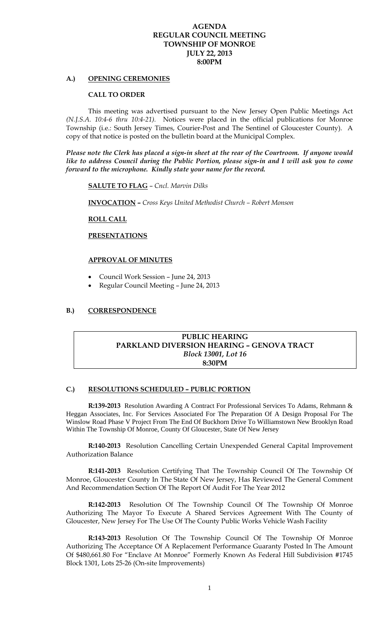### **AGENDA REGULAR COUNCIL MEETING TOWNSHIP OF MONROE JULY 22, 2013 8:00PM**

#### **A.) OPENING CEREMONIES**

#### **CALL TO ORDER**

 This meeting was advertised pursuant to the New Jersey Open Public Meetings Act *(N.J.S.A. 10:4-6 thru 10:4-21).* Notices were placed in the official publications for Monroe Township (i.e.: South Jersey Times, Courier-Post and The Sentinel of Gloucester County). A copy of that notice is posted on the bulletin board at the Municipal Complex.

*Please note the Clerk has placed a sign-in sheet at the rear of the Courtroom. If anyone would like to address Council during the Public Portion, please sign-in and I will ask you to come forward to the microphone. Kindly state your name for the record.* 

**SALUTE TO FLAG** – *Cncl. Marvin Dilks* 

 **INVOCATION –** *Cross Keys United Methodist Church – Robert Monson* 

#### **ROLL CALL**

 **PRESENTATIONS**

#### **APPROVAL OF MINUTES**

- Council Work Session June 24, 2013
- Regular Council Meeting June 24, 2013

### **B.) CORRESPONDENCE**

## **PUBLIC HEARING PARKLAND DIVERSION HEARING – GENOVA TRACT**  *Block 13001, Lot 16*  **8:30PM**

#### **C.) RESOLUTIONS SCHEDULED – PUBLIC PORTION**

**R:139-2013** Resolution Awarding A Contract For Professional Services To Adams, Rehmann & Heggan Associates, Inc. For Services Associated For The Preparation Of A Design Proposal For The Winslow Road Phase V Project From The End Of Buckhorn Drive To Williamstown New Brooklyn Road Within The Township Of Monroe, County Of Gloucester, State Of New Jersey

**R:140-2013** Resolution Cancelling Certain Unexpended General Capital Improvement Authorization Balance

**R:141-2013** Resolution Certifying That The Township Council Of The Township Of Monroe, Gloucester County In The State Of New Jersey, Has Reviewed The General Comment And Recommendation Section Of The Report Of Audit For The Year 2012

**R:142-2013** Resolution Of The Township Council Of The Township Of Monroe Authorizing The Mayor To Execute A Shared Services Agreement With The County of Gloucester, New Jersey For The Use Of The County Public Works Vehicle Wash Facility

**R:143-2013** Resolution Of The Township Council Of The Township Of Monroe Authorizing The Acceptance Of A Replacement Performance Guaranty Posted In The Amount Of \$480,661.80 For "Enclave At Monroe" Formerly Known As Federal Hill Subdivision #1745 Block 1301, Lots 25-26 (On-site Improvements)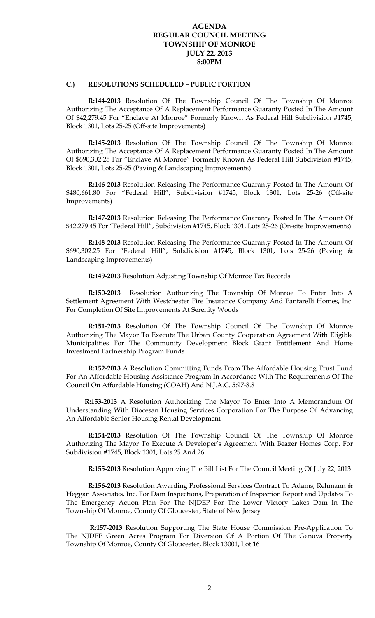## **AGENDA REGULAR COUNCIL MEETING TOWNSHIP OF MONROE JULY 22, 2013 8:00PM**

### **C.) RESOLUTIONS SCHEDULED – PUBLIC PORTION**

**R:144-2013** Resolution Of The Township Council Of The Township Of Monroe Authorizing The Acceptance Of A Replacement Performance Guaranty Posted In The Amount Of \$42,279.45 For "Enclave At Monroe" Formerly Known As Federal Hill Subdivision #1745, Block 1301, Lots 25-25 (Off-site Improvements)

**R:145-2013** Resolution Of The Township Council Of The Township Of Monroe Authorizing The Acceptance Of A Replacement Performance Guaranty Posted In The Amount Of \$690,302.25 For "Enclave At Monroe" Formerly Known As Federal Hill Subdivision #1745, Block 1301, Lots 25-25 (Paving & Landscaping Improvements)

 **R:146-2013** Resolution Releasing The Performance Guaranty Posted In The Amount Of \$480,661.80 For "Federal Hill", Subdivision #1745, Block 1301, Lots 25-26 (Off-site Improvements)

 **R:147-2013** Resolution Releasing The Performance Guaranty Posted In The Amount Of \$42,279.45 For "Federal Hill", Subdivision #1745, Block `301, Lots 25-26 (On-site Improvements)

 **R:148-2013** Resolution Releasing The Performance Guaranty Posted In The Amount Of \$690,302.25 For "Federal Hill", Subdivision #1745, Block 1301, Lots 25-26 (Paving & Landscaping Improvements)

**R:149-2013** Resolution Adjusting Township Of Monroe Tax Records

**R:150-2013** Resolution Authorizing The Township Of Monroe To Enter Into A Settlement Agreement With Westchester Fire Insurance Company And Pantarelli Homes, Inc. For Completion Of Site Improvements At Serenity Woods

**R:151-2013** Resolution Of The Township Council Of The Township Of Monroe Authorizing The Mayor To Execute The Urban County Cooperation Agreement With Eligible Municipalities For The Community Development Block Grant Entitlement And Home Investment Partnership Program Funds

**R:152-2013** A Resolution Committing Funds From The Affordable Housing Trust Fund For An Affordable Housing Assistance Program In Accordance With The Requirements Of The Council On Affordable Housing (COAH) And N.J.A.C. 5:97-8.8

 **R:153-2013** A Resolution Authorizing The Mayor To Enter Into A Memorandum Of Understanding With Diocesan Housing Services Corporation For The Purpose Of Advancing An Affordable Senior Housing Rental Development

**R:154-2013** Resolution Of The Township Council Of The Township Of Monroe Authorizing The Mayor To Execute A Developer's Agreement With Beazer Homes Corp. For Subdivision #1745, Block 1301, Lots 25 And 26

**R:155-2013** Resolution Approving The Bill List For The Council Meeting Of July 22, 2013

**R:156-2013** Resolution Awarding Professional Services Contract To Adams, Rehmann & Heggan Associates, Inc. For Dam Inspections, Preparation of Inspection Report and Updates To The Emergency Action Plan For The NJDEP For The Lower Victory Lakes Dam In The Township Of Monroe, County Of Gloucester, State of New Jersey

**R:157-2013** Resolution Supporting The State House Commission Pre-Application To The NJDEP Green Acres Program For Diversion Of A Portion Of The Genova Property Township Of Monroe, County Of Gloucester, Block 13001, Lot 16